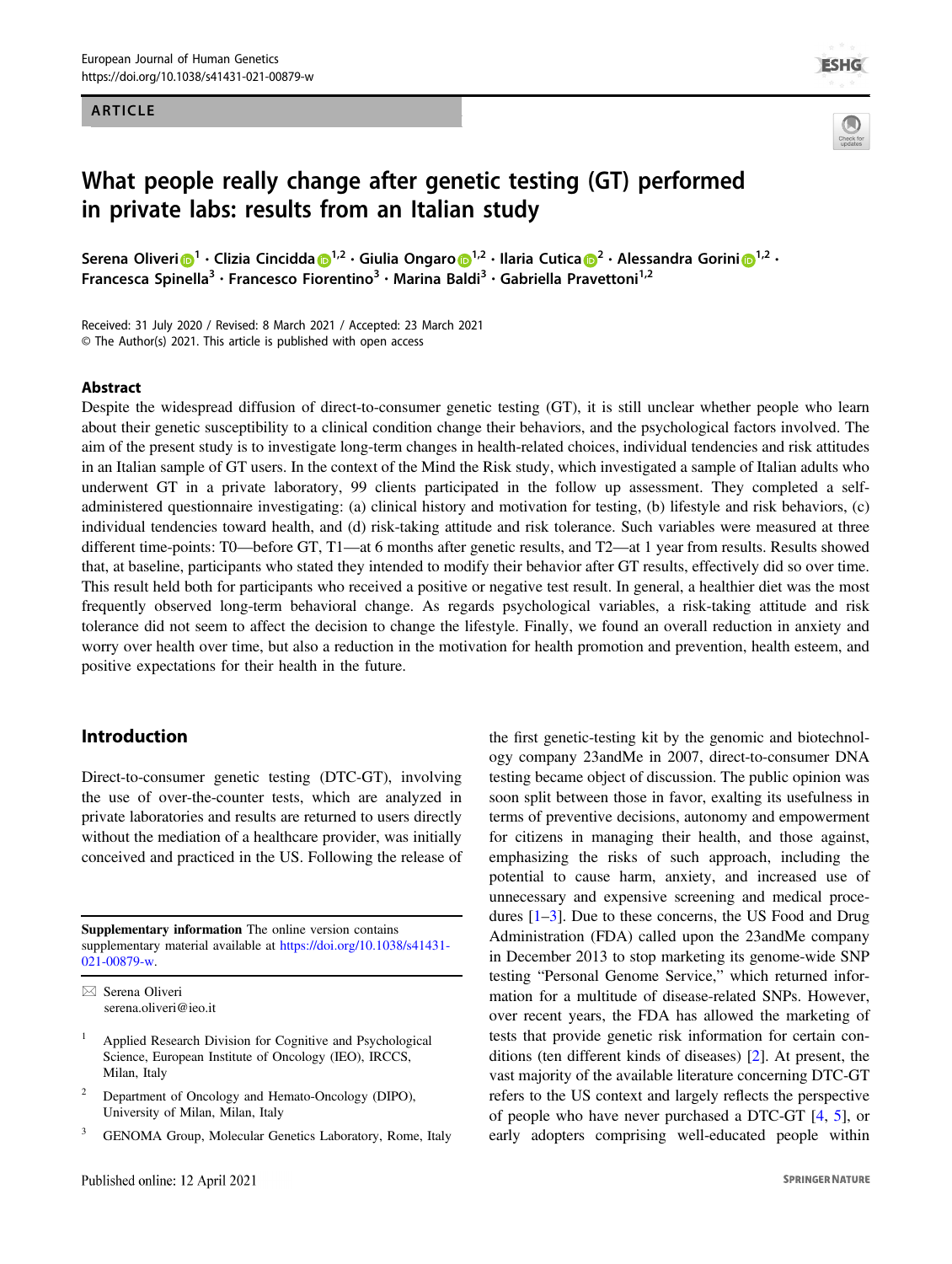#### ARTICLE



# What people really change after genetic testing (GT) performed in private labs: results from an Italian study

Seren[a](http://orcid.org/0000-0003-2749-0719) Ol[i](http://orcid.org/0000-0003-3216-1784)veri **D**<sup>[1](http://orcid.org/0000-0003-3216-1784)</sup> • Clizia Cincidda D<sup>1,2</sup> • Giulia Ongar[o](http://orcid.org/0000-0003-1287-4015) D<sup>1,[2](http://orcid.org/0000-0003-2749-0719)</sup> • Ilaria Cutica D<sup>2</sup> • Alessandra Gorini D<sup>1,2</sup> • Francesca Spinella<sup>3</sup> · Francesco Fiorentino<sup>3</sup> · Marina Baldi<sup>3</sup> · Gabriella Pravettoni<sup>1,2</sup>

Received: 31 July 2020 / Revised: 8 March 2021 / Accepted: 23 March 2021 © The Author(s) 2021. This article is published with open access

#### Abstract

Despite the widespread diffusion of direct-to-consumer genetic testing (GT), it is still unclear whether people who learn about their genetic susceptibility to a clinical condition change their behaviors, and the psychological factors involved. The aim of the present study is to investigate long-term changes in health-related choices, individual tendencies and risk attitudes in an Italian sample of GT users. In the context of the Mind the Risk study, which investigated a sample of Italian adults who underwent GT in a private laboratory, 99 clients participated in the follow up assessment. They completed a selfadministered questionnaire investigating: (a) clinical history and motivation for testing, (b) lifestyle and risk behaviors, (c) individual tendencies toward health, and (d) risk-taking attitude and risk tolerance. Such variables were measured at three different time-points: T0—before GT, T1—at 6 months after genetic results, and T2—at 1 year from results. Results showed that, at baseline, participants who stated they intended to modify their behavior after GT results, effectively did so over time. This result held both for participants who received a positive or negative test result. In general, a healthier diet was the most frequently observed long-term behavioral change. As regards psychological variables, a risk-taking attitude and risk tolerance did not seem to affect the decision to change the lifestyle. Finally, we found an overall reduction in anxiety and worry over health over time, but also a reduction in the motivation for health promotion and prevention, health esteem, and positive expectations for their health in the future.

## Introduction

Direct-to-consumer genetic testing (DTC-GT), involving the use of over-the-counter tests, which are analyzed in private laboratories and results are returned to users directly without the mediation of a healthcare provider, was initially conceived and practiced in the US. Following the release of

Supplementary information The online version contains supplementary material available at [https://doi.org/10.1038/s41431-](https://doi.org/10.1038/s41431-021-00879-w) [021-00879-w](https://doi.org/10.1038/s41431-021-00879-w).

 $\boxtimes$  Serena Oliveri [serena.oliveri@ieo.it](mailto:serena.oliveri@ieo.it)

- <sup>2</sup> Department of Oncology and Hemato-Oncology (DIPO), University of Milan, Milan, Italy
- GENOMA Group, Molecular Genetics Laboratory, Rome, Italy

the first genetic-testing kit by the genomic and biotechnology company 23andMe in 2007, direct-to-consumer DNA testing became object of discussion. The public opinion was soon split between those in favor, exalting its usefulness in terms of preventive decisions, autonomy and empowerment for citizens in managing their health, and those against, emphasizing the risks of such approach, including the potential to cause harm, anxiety, and increased use of unnecessary and expensive screening and medical procedures [[1](#page-9-0)–[3\]](#page-9-0). Due to these concerns, the US Food and Drug Administration (FDA) called upon the 23andMe company in December 2013 to stop marketing its genome-wide SNP testing "Personal Genome Service," which returned information for a multitude of disease-related SNPs. However, over recent years, the FDA has allowed the marketing of tests that provide genetic risk information for certain conditions (ten different kinds of diseases) [[2\]](#page-9-0). At present, the vast majority of the available literature concerning DTC-GT refers to the US context and largely reflects the perspective of people who have never purchased a DTC-GT [[4,](#page-9-0) [5\]](#page-9-0), or early adopters comprising well-educated people within

<sup>&</sup>lt;sup>1</sup> Applied Research Division for Cognitive and Psychological Science, European Institute of Oncology (IEO), IRCCS, Milan, Italy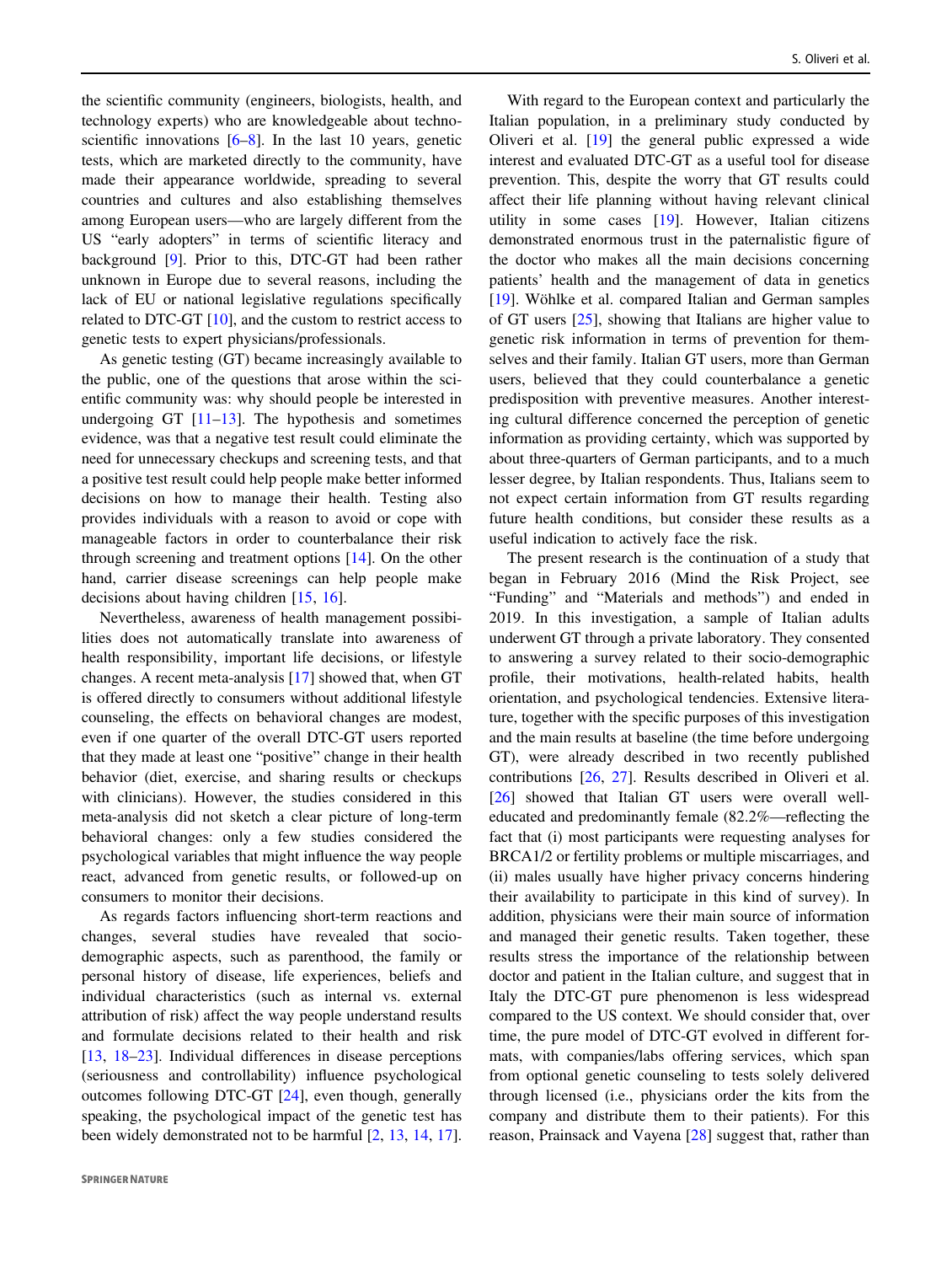the scientific community (engineers, biologists, health, and technology experts) who are knowledgeable about technoscientific innovations  $[6–8]$  $[6–8]$  $[6–8]$  $[6–8]$ . In the last 10 years, genetic tests, which are marketed directly to the community, have made their appearance worldwide, spreading to several countries and cultures and also establishing themselves among European users—who are largely different from the US "early adopters" in terms of scientific literacy and background [\[9](#page-9-0)]. Prior to this, DTC-GT had been rather unknown in Europe due to several reasons, including the lack of EU or national legislative regulations specifically related to DTC-GT [[10\]](#page-9-0), and the custom to restrict access to genetic tests to expert physicians/professionals.

As genetic testing (GT) became increasingly available to the public, one of the questions that arose within the scientific community was: why should people be interested in undergoing GT  $[11-13]$  $[11-13]$  $[11-13]$  $[11-13]$ . The hypothesis and sometimes evidence, was that a negative test result could eliminate the need for unnecessary checkups and screening tests, and that a positive test result could help people make better informed decisions on how to manage their health. Testing also provides individuals with a reason to avoid or cope with manageable factors in order to counterbalance their risk through screening and treatment options [\[14](#page-9-0)]. On the other hand, carrier disease screenings can help people make decisions about having children [[15,](#page-9-0) [16\]](#page-9-0).

Nevertheless, awareness of health management possibilities does not automatically translate into awareness of health responsibility, important life decisions, or lifestyle changes. A recent meta-analysis [[17\]](#page-9-0) showed that, when GT is offered directly to consumers without additional lifestyle counseling, the effects on behavioral changes are modest, even if one quarter of the overall DTC-GT users reported that they made at least one "positive" change in their health behavior (diet, exercise, and sharing results or checkups with clinicians). However, the studies considered in this meta-analysis did not sketch a clear picture of long-term behavioral changes: only a few studies considered the psychological variables that might influence the way people react, advanced from genetic results, or followed-up on consumers to monitor their decisions.

As regards factors influencing short-term reactions and changes, several studies have revealed that sociodemographic aspects, such as parenthood, the family or personal history of disease, life experiences, beliefs and individual characteristics (such as internal vs. external attribution of risk) affect the way people understand results and formulate decisions related to their health and risk [\[13](#page-9-0), [18](#page-9-0)–[23\]](#page-10-0). Individual differences in disease perceptions (seriousness and controllability) influence psychological outcomes following DTC-GT [\[24](#page-10-0)], even though, generally speaking, the psychological impact of the genetic test has been widely demonstrated not to be harmful [[2,](#page-9-0) [13](#page-9-0), [14](#page-9-0), [17](#page-9-0)].

With regard to the European context and particularly the Italian population, in a preliminary study conducted by Oliveri et al. [\[19](#page-9-0)] the general public expressed a wide interest and evaluated DTC-GT as a useful tool for disease prevention. This, despite the worry that GT results could affect their life planning without having relevant clinical utility in some cases [\[19](#page-9-0)]. However, Italian citizens demonstrated enormous trust in the paternalistic figure of the doctor who makes all the main decisions concerning patients' health and the management of data in genetics [\[19](#page-9-0)]. Wöhlke et al. compared Italian and German samples of GT users [\[25](#page-10-0)], showing that Italians are higher value to genetic risk information in terms of prevention for themselves and their family. Italian GT users, more than German users, believed that they could counterbalance a genetic predisposition with preventive measures. Another interesting cultural difference concerned the perception of genetic information as providing certainty, which was supported by about three-quarters of German participants, and to a much lesser degree, by Italian respondents. Thus, Italians seem to not expect certain information from GT results regarding future health conditions, but consider these results as a useful indication to actively face the risk.

The present research is the continuation of a study that began in February 2016 (Mind the Risk Project, see "Funding" and "Materials and methods") and ended in 2019. In this investigation, a sample of Italian adults underwent GT through a private laboratory. They consented to answering a survey related to their socio-demographic profile, their motivations, health-related habits, health orientation, and psychological tendencies. Extensive literature, together with the specific purposes of this investigation and the main results at baseline (the time before undergoing GT), were already described in two recently published contributions [[26,](#page-10-0) [27\]](#page-10-0). Results described in Oliveri et al. [\[26](#page-10-0)] showed that Italian GT users were overall welleducated and predominantly female (82.2%—reflecting the fact that (i) most participants were requesting analyses for BRCA1/2 or fertility problems or multiple miscarriages, and (ii) males usually have higher privacy concerns hindering their availability to participate in this kind of survey). In addition, physicians were their main source of information and managed their genetic results. Taken together, these results stress the importance of the relationship between doctor and patient in the Italian culture, and suggest that in Italy the DTC-GT pure phenomenon is less widespread compared to the US context. We should consider that, over time, the pure model of DTC-GT evolved in different formats, with companies/labs offering services, which span from optional genetic counseling to tests solely delivered through licensed (i.e., physicians order the kits from the company and distribute them to their patients). For this reason, Prainsack and Vayena [\[28](#page-10-0)] suggest that, rather than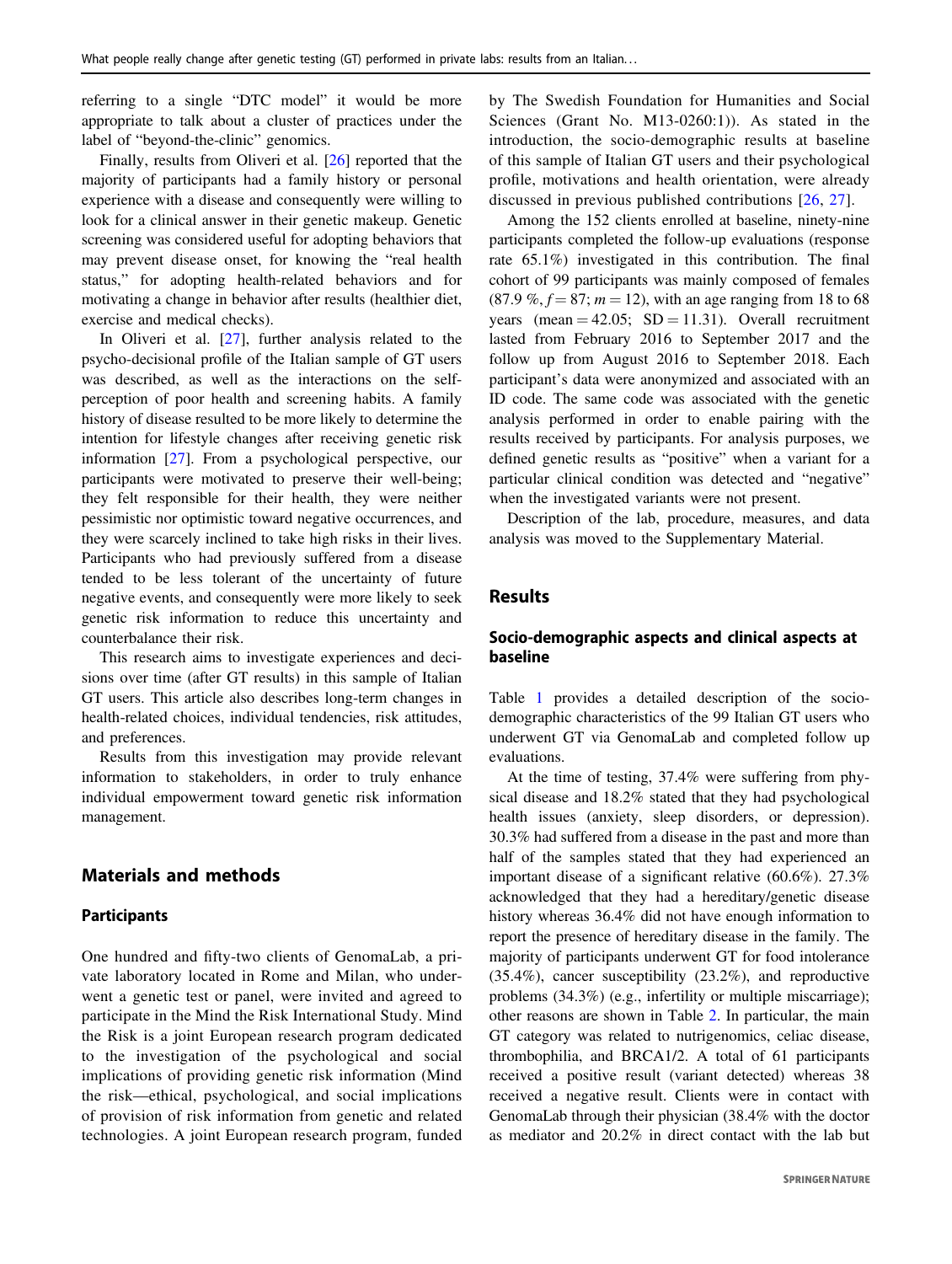referring to a single "DTC model" it would be more appropriate to talk about a cluster of practices under the label of "beyond-the-clinic" genomics.

Finally, results from Oliveri et al. [[26\]](#page-10-0) reported that the majority of participants had a family history or personal experience with a disease and consequently were willing to look for a clinical answer in their genetic makeup. Genetic screening was considered useful for adopting behaviors that may prevent disease onset, for knowing the "real health status," for adopting health-related behaviors and for motivating a change in behavior after results (healthier diet, exercise and medical checks).

In Oliveri et al. [[27\]](#page-10-0), further analysis related to the psycho-decisional profile of the Italian sample of GT users was described, as well as the interactions on the selfperception of poor health and screening habits. A family history of disease resulted to be more likely to determine the intention for lifestyle changes after receiving genetic risk information [[27\]](#page-10-0). From a psychological perspective, our participants were motivated to preserve their well-being; they felt responsible for their health, they were neither pessimistic nor optimistic toward negative occurrences, and they were scarcely inclined to take high risks in their lives. Participants who had previously suffered from a disease tended to be less tolerant of the uncertainty of future negative events, and consequently were more likely to seek genetic risk information to reduce this uncertainty and counterbalance their risk.

This research aims to investigate experiences and decisions over time (after GT results) in this sample of Italian GT users. This article also describes long-term changes in health-related choices, individual tendencies, risk attitudes, and preferences.

Results from this investigation may provide relevant information to stakeholders, in order to truly enhance individual empowerment toward genetic risk information management.

# Materials and methods

## Participants

One hundred and fifty-two clients of GenomaLab, a private laboratory located in Rome and Milan, who underwent a genetic test or panel, were invited and agreed to participate in the Mind the Risk International Study. Mind the Risk is a joint European research program dedicated to the investigation of the psychological and social implications of providing genetic risk information (Mind the risk—ethical, psychological, and social implications of provision of risk information from genetic and related technologies. A joint European research program, funded by The Swedish Foundation for Humanities and Social Sciences (Grant No. M13-0260:1)). As stated in the introduction, the socio-demographic results at baseline of this sample of Italian GT users and their psychological profile, motivations and health orientation, were already discussed in previous published contributions [[26](#page-10-0), [27](#page-10-0)].

Among the 152 clients enrolled at baseline, ninety-nine participants completed the follow-up evaluations (response rate 65.1%) investigated in this contribution. The final cohort of 99 participants was mainly composed of females  $(87.9\%, f = 87; m = 12)$ , with an age ranging from 18 to 68 years (mean  $= 42.05$ ; SD  $= 11.31$ ). Overall recruitment lasted from February 2016 to September 2017 and the follow up from August 2016 to September 2018. Each participant's data were anonymized and associated with an ID code. The same code was associated with the genetic analysis performed in order to enable pairing with the results received by participants. For analysis purposes, we defined genetic results as "positive" when a variant for a particular clinical condition was detected and "negative" when the investigated variants were not present.

Description of the lab, procedure, measures, and data analysis was moved to the Supplementary Material.

## Results

# Socio-demographic aspects and clinical aspects at baseline

Table [1](#page-3-0) provides a detailed description of the sociodemographic characteristics of the 99 Italian GT users who underwent GT via GenomaLab and completed follow up evaluations.

At the time of testing, 37.4% were suffering from physical disease and 18.2% stated that they had psychological health issues (anxiety, sleep disorders, or depression). 30.3% had suffered from a disease in the past and more than half of the samples stated that they had experienced an important disease of a significant relative (60.6%). 27.3% acknowledged that they had a hereditary/genetic disease history whereas 36.4% did not have enough information to report the presence of hereditary disease in the family. The majority of participants underwent GT for food intolerance (35.4%), cancer susceptibility (23.2%), and reproductive problems (34.3%) (e.g., infertility or multiple miscarriage); other reasons are shown in Table [2.](#page-3-0) In particular, the main GT category was related to nutrigenomics, celiac disease, thrombophilia, and BRCA1/2. A total of 61 participants received a positive result (variant detected) whereas 38 received a negative result. Clients were in contact with GenomaLab through their physician (38.4% with the doctor as mediator and 20.2% in direct contact with the lab but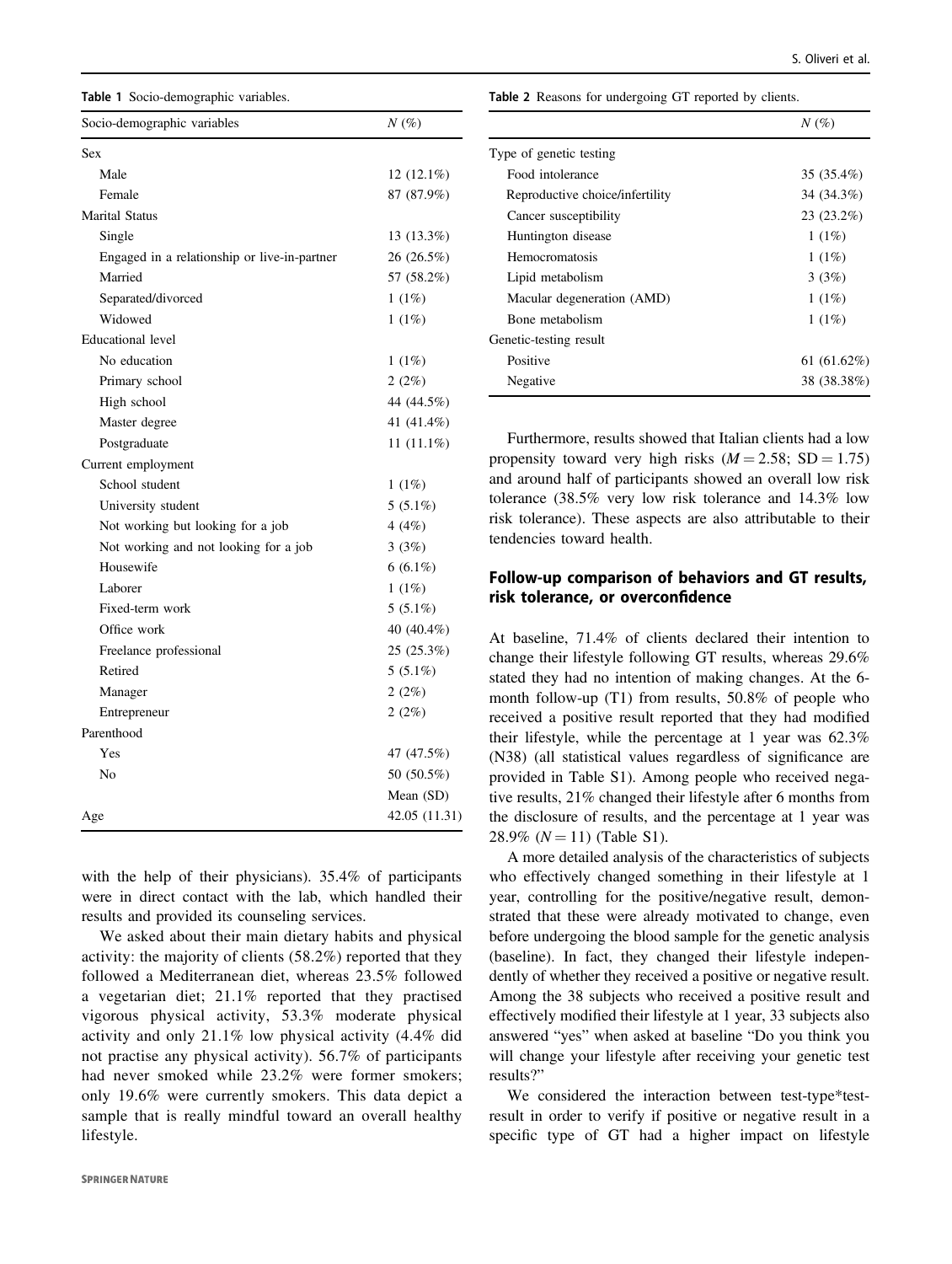<span id="page-3-0"></span>

| Table 1 Socio-demographic variables. |  |
|--------------------------------------|--|
|--------------------------------------|--|

| Socio-demographic variables                  | $N(\%)$       |  |  |
|----------------------------------------------|---------------|--|--|
| Sex                                          |               |  |  |
| Male                                         | $12(12.1\%)$  |  |  |
| Female                                       | 87 (87.9%)    |  |  |
| <b>Marital Status</b>                        |               |  |  |
| Single                                       | 13 (13.3%)    |  |  |
| Engaged in a relationship or live-in-partner | 26(26.5%)     |  |  |
| Married                                      | 57 (58.2%)    |  |  |
| Separated/divorced                           | 1(1%)         |  |  |
| Widowed                                      | 1(1%)         |  |  |
| <b>Educational</b> level                     |               |  |  |
| No education                                 | 1(1%)         |  |  |
| Primary school                               | 2(2%)         |  |  |
| High school                                  | 44 (44.5%)    |  |  |
| Master degree                                | 41 (41.4%)    |  |  |
| Postgraduate                                 | 11 $(11.1\%)$ |  |  |
| Current employment                           |               |  |  |
| School student                               | 1(1%)         |  |  |
| University student                           | $5(5.1\%)$    |  |  |
| Not working but looking for a job            | 4 $(4%)$      |  |  |
| Not working and not looking for a job        | 3(3%)         |  |  |
| Housewife                                    | $6(6.1\%)$    |  |  |
| Laborer                                      | 1(1%)         |  |  |
| Fixed-term work                              | $5(5.1\%)$    |  |  |
| Office work                                  | 40 (40.4%)    |  |  |
| Freelance professional                       | 25 (25.3%)    |  |  |
| Retired                                      | $5(5.1\%)$    |  |  |
| Manager                                      | 2(2%)         |  |  |
| Entrepreneur                                 | 2(2%)         |  |  |
| Parenthood                                   |               |  |  |
| Yes                                          | 47 (47.5%)    |  |  |
| N <sub>0</sub>                               | 50 (50.5%)    |  |  |
|                                              | Mean (SD)     |  |  |
| Age                                          | 42.05 (11.31) |  |  |

with the help of their physicians). 35.4% of participants were in direct contact with the lab, which handled their results and provided its counseling services.

We asked about their main dietary habits and physical activity: the majority of clients (58.2%) reported that they followed a Mediterranean diet, whereas 23.5% followed a vegetarian diet; 21.1% reported that they practised vigorous physical activity, 53.3% moderate physical activity and only 21.1% low physical activity (4.4% did not practise any physical activity). 56.7% of participants had never smoked while 23.2% were former smokers; only 19.6% were currently smokers. This data depict a sample that is really mindful toward an overall healthy lifestyle.

Table 2 Reasons for undergoing GT reported by clients.

|                                 | $N(\%)$        |
|---------------------------------|----------------|
| Type of genetic testing         |                |
| Food intolerance                | 35 (35.4%)     |
| Reproductive choice/infertility | 34 (34.3%)     |
| Cancer susceptibility           | $23(23.2\%)$   |
| Huntington disease              | 1(1%)          |
| <b>Hemocromatosis</b>           | 1(1%)          |
| Lipid metabolism                | 3(3%)          |
| Macular degeneration (AMD)      | $1(1\%)$       |
| Bone metabolism                 | $1(1\%)$       |
| Genetic-testing result          |                |
| Positive                        | 61 $(61.62\%)$ |
| Negative                        | 38 (38.38%)    |

Furthermore, results showed that Italian clients had a low propensity toward very high risks  $(M = 2.58; SD = 1.75)$ and around half of participants showed an overall low risk tolerance (38.5% very low risk tolerance and 14.3% low risk tolerance). These aspects are also attributable to their tendencies toward health.

# Follow-up comparison of behaviors and GT results, risk tolerance, or overconfidence

At baseline, 71.4% of clients declared their intention to change their lifestyle following GT results, whereas 29.6% stated they had no intention of making changes. At the 6 month follow-up (T1) from results, 50.8% of people who received a positive result reported that they had modified their lifestyle, while the percentage at 1 year was 62.3% (N38) (all statistical values regardless of significance are provided in Table S1). Among people who received negative results, 21% changed their lifestyle after 6 months from the disclosure of results, and the percentage at 1 year was 28.9% ( $N = 11$ ) (Table S1).

A more detailed analysis of the characteristics of subjects who effectively changed something in their lifestyle at 1 year, controlling for the positive/negative result, demonstrated that these were already motivated to change, even before undergoing the blood sample for the genetic analysis (baseline). In fact, they changed their lifestyle independently of whether they received a positive or negative result. Among the 38 subjects who received a positive result and effectively modified their lifestyle at 1 year, 33 subjects also answered "yes" when asked at baseline "Do you think you will change your lifestyle after receiving your genetic test results?"

We considered the interaction between test-type\*testresult in order to verify if positive or negative result in a specific type of GT had a higher impact on lifestyle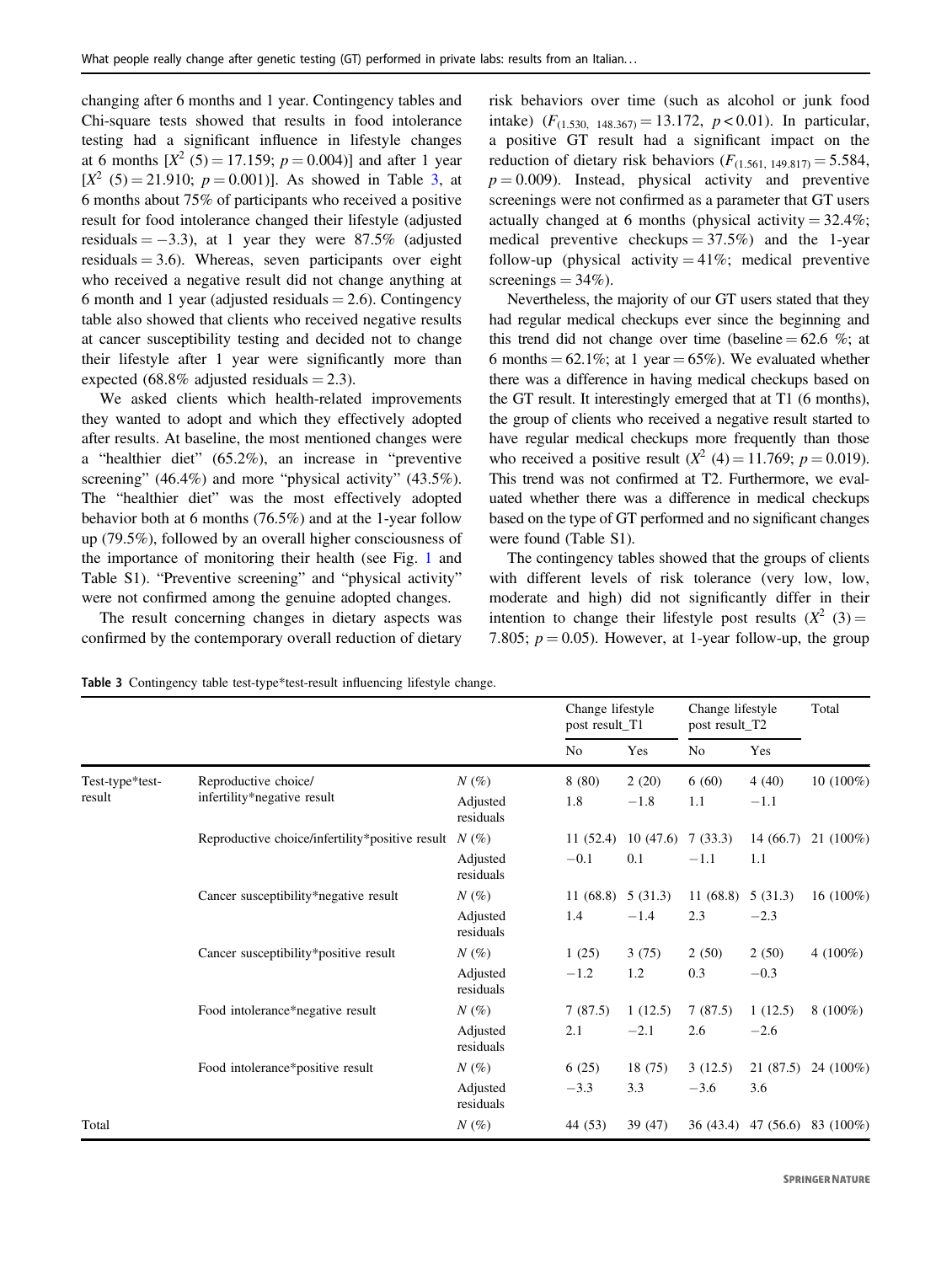changing after 6 months and 1 year. Contingency tables and Chi-square tests showed that results in food intolerance testing had a significant influence in lifestyle changes at 6 months  $[X^2 (5) = 17.159; p = 0.004]$  and after 1 year  $[X^2 (5) = 21.910$ ;  $p = 0.001$ ). As showed in Table 3, at 6 months about 75% of participants who received a positive result for food intolerance changed their lifestyle (adjusted residuals  $= -3.3$ ), at 1 year they were 87.5% (adjusted residuals  $= 3.6$ ). Whereas, seven participants over eight who received a negative result did not change anything at 6 month and 1 year (adjusted residuals  $= 2.6$ ). Contingency table also showed that clients who received negative results at cancer susceptibility testing and decided not to change their lifestyle after 1 year were significantly more than expected (68.8% adjusted residuals  $= 2.3$ ).

We asked clients which health-related improvements they wanted to adopt and which they effectively adopted after results. At baseline, the most mentioned changes were a "healthier diet" (65.2%), an increase in "preventive screening" (46.4%) and more "physical activity" (43.5%). The "healthier diet" was the most effectively adopted behavior both at 6 months (76.5%) and at the 1-year follow up (79.5%), followed by an overall higher consciousness of the importance of monitoring their health (see Fig. [1](#page-5-0) and Table S1). "Preventive screening" and "physical activity" were not confirmed among the genuine adopted changes.

The result concerning changes in dietary aspects was confirmed by the contemporary overall reduction of dietary

risk behaviors over time (such as alcohol or junk food intake)  $(F_{(1.530, 148.367)} = 13.172, p < 0.01)$ . In particular, a positive GT result had a significant impact on the reduction of dietary risk behaviors  $(F<sub>(1.561, 149.817)</sub> = 5.584,$  $p = 0.009$ ). Instead, physical activity and preventive screenings were not confirmed as a parameter that GT users actually changed at 6 months (physical activity  $= 32.4\%$ ; medical preventive checkups  $= 37.5\%$  and the 1-year follow-up (physical activity  $= 41\%$ ; medical preventive screenings  $= 34\%$ ).

Nevertheless, the majority of our GT users stated that they had regular medical checkups ever since the beginning and this trend did not change over time (baseline  $= 62.6$  %; at 6 months =  $62.1\%$ ; at 1 year =  $65\%$ ). We evaluated whether there was a difference in having medical checkups based on the GT result. It interestingly emerged that at T1 (6 months), the group of clients who received a negative result started to have regular medical checkups more frequently than those who received a positive result  $(X^2 (4) = 11.769; p = 0.019)$ . This trend was not confirmed at T2. Furthermore, we evaluated whether there was a difference in medical checkups based on the type of GT performed and no significant changes were found (Table S1).

The contingency tables showed that the groups of clients with different levels of risk tolerance (very low, low, moderate and high) did not significantly differ in their intention to change their lifestyle post results  $(X^2 \t(3)) =$ 7.805;  $p = 0.05$ ). However, at 1-year follow-up, the group

|                           |                                                     |                       | Change lifestyle<br>post result_T1 |          | Change lifestyle<br>post result_T2 |           | Total        |
|---------------------------|-----------------------------------------------------|-----------------------|------------------------------------|----------|------------------------------------|-----------|--------------|
|                           |                                                     |                       | N <sub>0</sub>                     | Yes      | N <sub>0</sub>                     | Yes       |              |
| Test-type*test-<br>result | Reproductive choice/<br>infertility*negative result | $N(\%)$               | 8(80)                              | 2(20)    | 6(60)                              | 4(40)     | $10(100\%)$  |
|                           |                                                     | Adjusted<br>residuals | 1.8                                | $-1.8$   | 1.1                                | $-1.1$    |              |
|                           | Reproductive choice/infertility*positive result     | $N(\%)$               | 11(52.4)                           | 10(47.6) | 7(33.3)                            | 14(66.7)  | $21(100\%)$  |
|                           |                                                     | Adjusted<br>residuals | $-0.1$                             | 0.1      | $-1.1$                             | 1.1       |              |
|                           | Cancer susceptibility*negative result               | $N(\%)$               | 11(68.8)                           | 5(31.3)  | 11(68.8)                           | 5(31.3)   | 16 $(100\%)$ |
|                           |                                                     | Adjusted<br>residuals | 1.4                                | $-1.4$   | 2.3                                | $-2.3$    |              |
|                           | Cancer susceptibility*positive result               | $N(\%)$               | 1(25)                              | 3(75)    | 2(50)                              | 2(50)     | 4 $(100\%)$  |
|                           |                                                     | Adjusted<br>residuals | $-1.2$                             | 1.2      | 0.3                                | $-0.3$    |              |
|                           | Food intolerance*negative result                    | $N(\%)$               | 7(87.5)                            | 1(12.5)  | 7(87.5)                            | 1(12.5)   | $8(100\%)$   |
|                           |                                                     | Adjusted<br>residuals | 2.1                                | $-2.1$   | 2.6                                | $-2.6$    |              |
|                           | Food intolerance*positive result                    | $N(\%)$               | 6(25)                              | 18(75)   | 3(12.5)                            | 21(87.5)  | 24 (100%)    |
|                           |                                                     | Adjusted<br>residuals | $-3.3$                             | 3.3      | $-3.6$                             | 3.6       |              |
| Total                     |                                                     | $N(\%)$               | 44 (53)                            | 39 (47)  | 36 (43.4)                          | 47 (56.6) | 83 (100%)    |

Table 3 Contingency table test-type\*test-result influencing lifestyle change.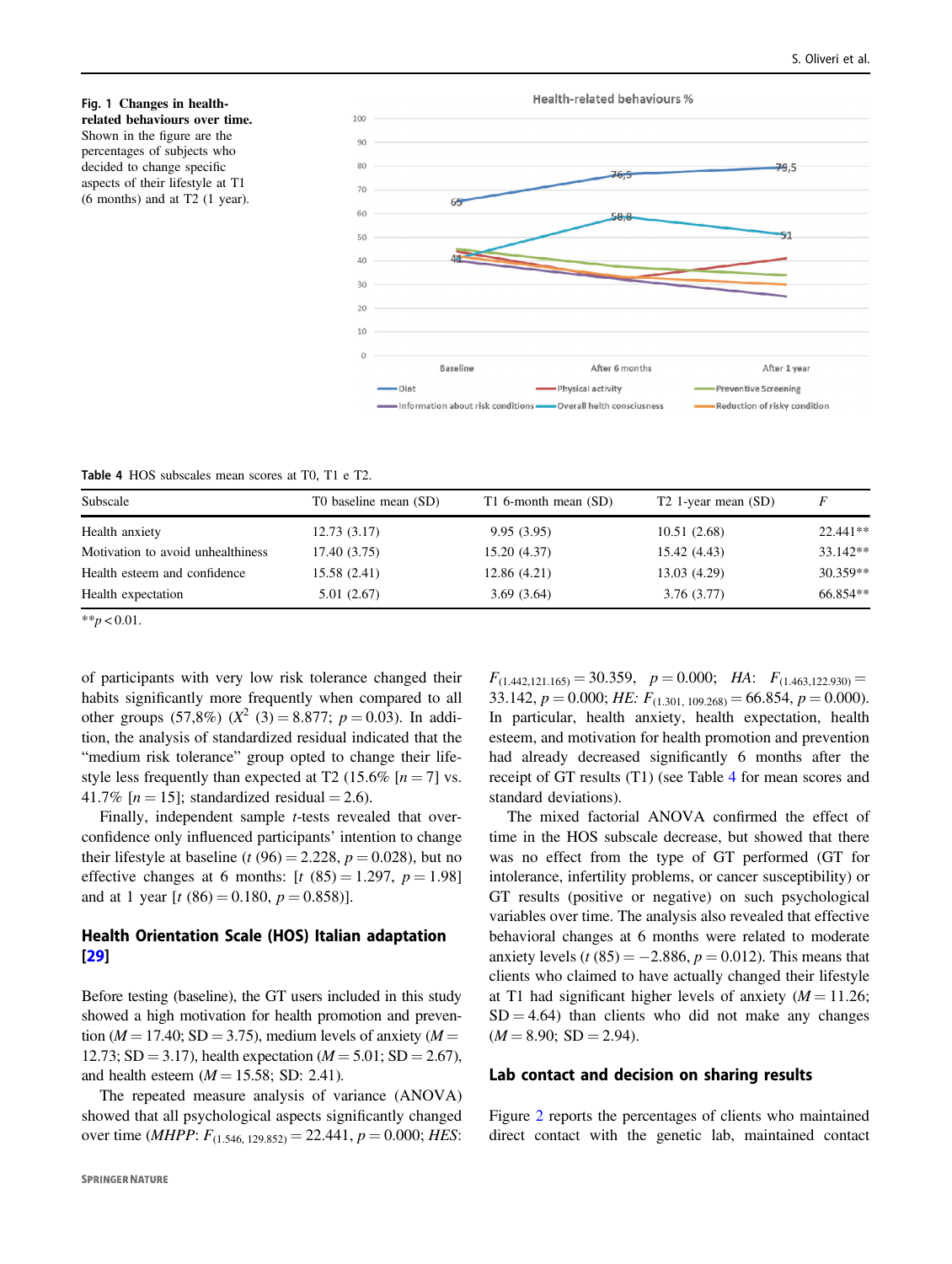<span id="page-5-0"></span>



Table 4 HOS subscales mean scores at T0, T1 e T2.

| Subscale                          | T0 baseline mean (SD) | T1 6-month mean (SD) | T <sub>2</sub> 1-year mean (SD) | F          |
|-----------------------------------|-----------------------|----------------------|---------------------------------|------------|
| Health anxiety                    | 12.73(3.17)           | 9.95(3.95)           | 10.51(2.68)                     | $22.441**$ |
| Motivation to avoid unhealthiness | 17.40 (3.75)          | 15.20 (4.37)         | 15.42 (4.43)                    | $33.142**$ |
| Health esteem and confidence      | 15.58 (2.41)          | 12.86 (4.21)         | 13.03 (4.29)                    | $30.359**$ |
| Health expectation                | 5.01 (2.67)           | 3.69(3.64)           | 3.76(3.77)                      | 66.854**   |

\*\* $p < 0.01$ .

of participants with very low risk tolerance changed their habits significantly more frequently when compared to all other groups (57,8%) ( $X^2$  (3) = 8.877;  $p = 0.03$ ). In addition, the analysis of standardized residual indicated that the "medium risk tolerance" group opted to change their lifestyle less frequently than expected at T2 (15.6%  $[n = 7]$  vs. 41.7% [ $n = 15$ ]; standardized residual = 2.6).

Finally, independent sample *t*-tests revealed that overconfidence only influenced participants' intention to change their lifestyle at baseline (t (96) = 2.228,  $p = 0.028$ ), but no effective changes at 6 months:  $[t (85) = 1.297, p = 1.98]$ and at 1 year  $[t (86) = 0.180, p = 0.858)].$ 

# Health Orientation Scale (HOS) Italian adaptation [\[29](#page-10-0)]

Before testing (baseline), the GT users included in this study showed a high motivation for health promotion and prevention ( $M = 17.40$ ; SD = 3.75), medium levels of anxiety ( $M =$ 12.73; SD = 3.17), health expectation ( $M = 5.01$ ; SD = 2.67), and health esteem  $(M = 15.58; SD: 2.41)$ .

The repeated measure analysis of variance (ANOVA) showed that all psychological aspects significantly changed over time (*MHPP*:  $F_{(1.546, 129.852)} = 22.441, p = 0.000; HES$ :  $F_{(1.442,121.165)} = 30.359$ ,  $p = 0.000$ ; HA:  $F_{(1.463,122.930)} =$ 33.142,  $p = 0.000$ ; HE:  $F_{(1.301, 109.268)} = 66.854$ ,  $p = 0.000$ ). In particular, health anxiety, health expectation, health esteem, and motivation for health promotion and prevention had already decreased significantly 6 months after the receipt of GT results (T1) (see Table 4 for mean scores and standard deviations).

The mixed factorial ANOVA confirmed the effect of time in the HOS subscale decrease, but showed that there was no effect from the type of GT performed (GT for intolerance, infertility problems, or cancer susceptibility) or GT results (positive or negative) on such psychological variables over time. The analysis also revealed that effective behavioral changes at 6 months were related to moderate anxiety levels  $(t (85) = -2.886, p = 0.012)$ . This means that clients who claimed to have actually changed their lifestyle at T1 had significant higher levels of anxiety  $(M = 11.26)$ ;  $SD = 4.64$ ) than clients who did not make any changes  $(M = 8.90; SD = 2.94).$ 

#### Lab contact and decision on sharing results

Figure [2](#page-6-0) reports the percentages of clients who maintained direct contact with the genetic lab, maintained contact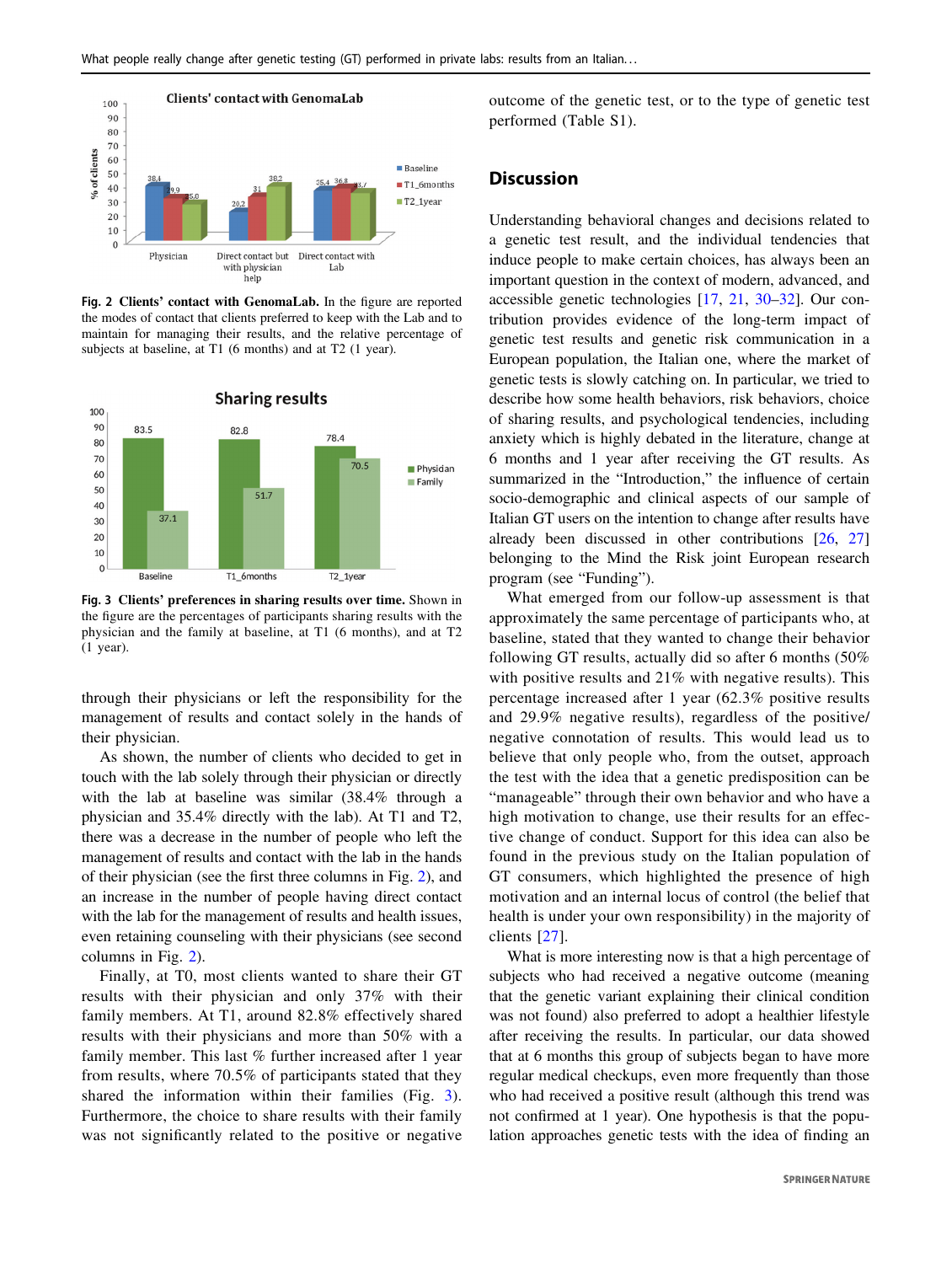<span id="page-6-0"></span>

Fig. 2 Clients' contact with GenomaLab. In the figure are reported the modes of contact that clients preferred to keep with the Lab and to maintain for managing their results, and the relative percentage of subjects at baseline, at T1 (6 months) and at T2 (1 year).



Fig. 3 Clients' preferences in sharing results over time. Shown in the figure are the percentages of participants sharing results with the physician and the family at baseline, at T1 (6 months), and at T2 (1 year).

through their physicians or left the responsibility for the management of results and contact solely in the hands of their physician.

As shown, the number of clients who decided to get in touch with the lab solely through their physician or directly with the lab at baseline was similar (38.4% through a physician and 35.4% directly with the lab). At T1 and T2, there was a decrease in the number of people who left the management of results and contact with the lab in the hands of their physician (see the first three columns in Fig. 2), and an increase in the number of people having direct contact with the lab for the management of results and health issues, even retaining counseling with their physicians (see second columns in Fig. 2).

Finally, at T0, most clients wanted to share their GT results with their physician and only 37% with their family members. At T1, around 82.8% effectively shared results with their physicians and more than 50% with a family member. This last % further increased after 1 year from results, where 70.5% of participants stated that they shared the information within their families (Fig. 3). Furthermore, the choice to share results with their family was not significantly related to the positive or negative outcome of the genetic test, or to the type of genetic test performed (Table S1).

## **Discussion**

Understanding behavioral changes and decisions related to a genetic test result, and the individual tendencies that induce people to make certain choices, has always been an important question in the context of modern, advanced, and accessible genetic technologies [[17,](#page-9-0) [21](#page-10-0), [30](#page-10-0)–[32\]](#page-10-0). Our contribution provides evidence of the long-term impact of genetic test results and genetic risk communication in a European population, the Italian one, where the market of genetic tests is slowly catching on. In particular, we tried to describe how some health behaviors, risk behaviors, choice of sharing results, and psychological tendencies, including anxiety which is highly debated in the literature, change at 6 months and 1 year after receiving the GT results. As summarized in the "Introduction," the influence of certain socio-demographic and clinical aspects of our sample of Italian GT users on the intention to change after results have already been discussed in other contributions [\[26](#page-10-0), [27](#page-10-0)] belonging to the Mind the Risk joint European research program (see "Funding").

What emerged from our follow-up assessment is that approximately the same percentage of participants who, at baseline, stated that they wanted to change their behavior following GT results, actually did so after 6 months (50% with positive results and 21% with negative results). This percentage increased after 1 year (62.3% positive results and 29.9% negative results), regardless of the positive/ negative connotation of results. This would lead us to believe that only people who, from the outset, approach the test with the idea that a genetic predisposition can be "manageable" through their own behavior and who have a high motivation to change, use their results for an effective change of conduct. Support for this idea can also be found in the previous study on the Italian population of GT consumers, which highlighted the presence of high motivation and an internal locus of control (the belief that health is under your own responsibility) in the majority of clients [[27\]](#page-10-0).

What is more interesting now is that a high percentage of subjects who had received a negative outcome (meaning that the genetic variant explaining their clinical condition was not found) also preferred to adopt a healthier lifestyle after receiving the results. In particular, our data showed that at 6 months this group of subjects began to have more regular medical checkups, even more frequently than those who had received a positive result (although this trend was not confirmed at 1 year). One hypothesis is that the population approaches genetic tests with the idea of finding an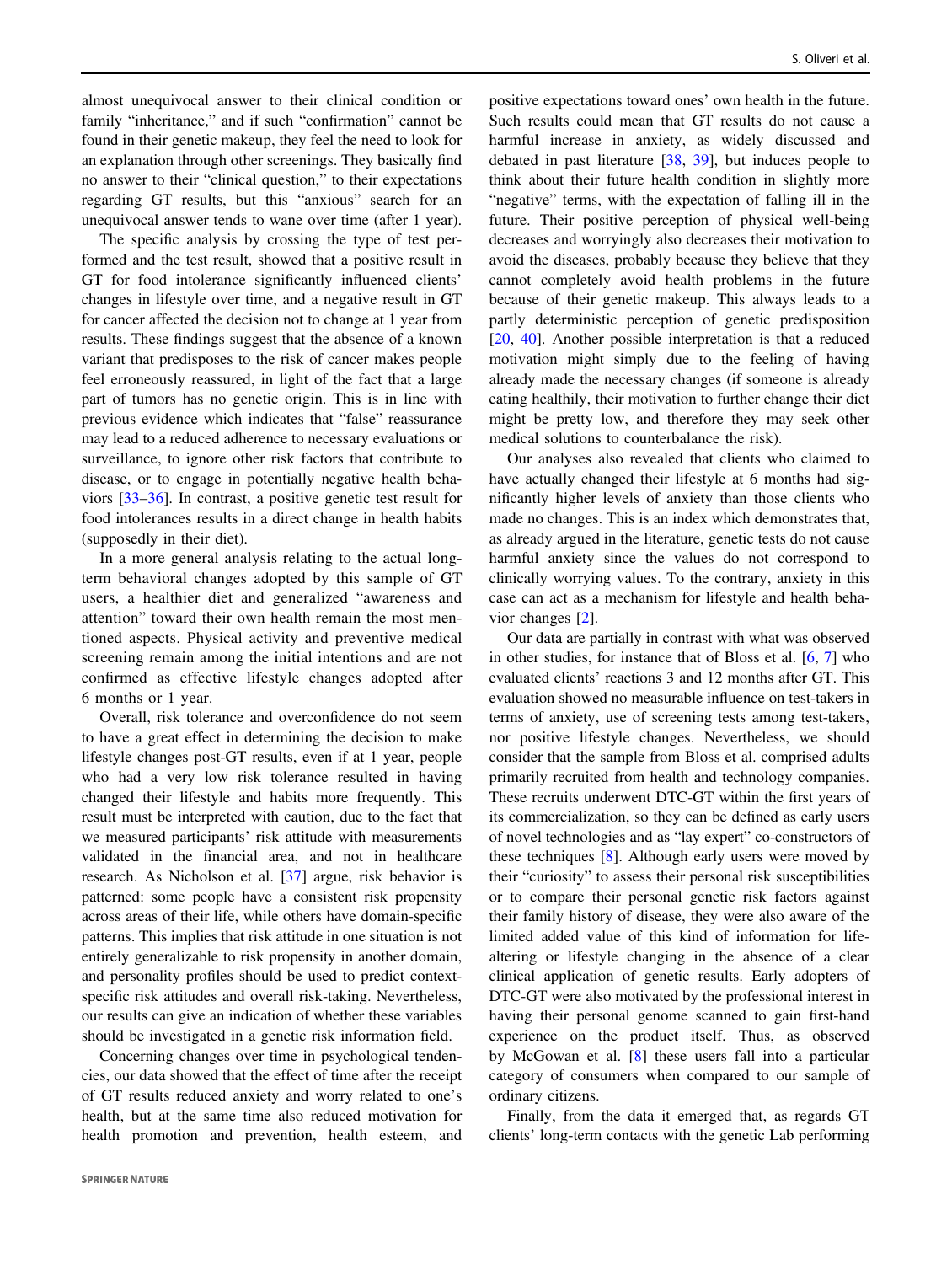almost unequivocal answer to their clinical condition or family "inheritance," and if such "confirmation" cannot be found in their genetic makeup, they feel the need to look for an explanation through other screenings. They basically find no answer to their "clinical question," to their expectations regarding GT results, but this "anxious" search for an unequivocal answer tends to wane over time (after 1 year).

The specific analysis by crossing the type of test performed and the test result, showed that a positive result in GT for food intolerance significantly influenced clients' changes in lifestyle over time, and a negative result in GT for cancer affected the decision not to change at 1 year from results. These findings suggest that the absence of a known variant that predisposes to the risk of cancer makes people feel erroneously reassured, in light of the fact that a large part of tumors has no genetic origin. This is in line with previous evidence which indicates that "false" reassurance may lead to a reduced adherence to necessary evaluations or surveillance, to ignore other risk factors that contribute to disease, or to engage in potentially negative health behaviors [\[33](#page-10-0)–[36](#page-10-0)]. In contrast, a positive genetic test result for food intolerances results in a direct change in health habits (supposedly in their diet).

In a more general analysis relating to the actual longterm behavioral changes adopted by this sample of GT users, a healthier diet and generalized "awareness and attention" toward their own health remain the most mentioned aspects. Physical activity and preventive medical screening remain among the initial intentions and are not confirmed as effective lifestyle changes adopted after 6 months or 1 year.

Overall, risk tolerance and overconfidence do not seem to have a great effect in determining the decision to make lifestyle changes post-GT results, even if at 1 year, people who had a very low risk tolerance resulted in having changed their lifestyle and habits more frequently. This result must be interpreted with caution, due to the fact that we measured participants' risk attitude with measurements validated in the financial area, and not in healthcare research. As Nicholson et al. [[37\]](#page-10-0) argue, risk behavior is patterned: some people have a consistent risk propensity across areas of their life, while others have domain-specific patterns. This implies that risk attitude in one situation is not entirely generalizable to risk propensity in another domain, and personality profiles should be used to predict contextspecific risk attitudes and overall risk-taking. Nevertheless, our results can give an indication of whether these variables should be investigated in a genetic risk information field.

Concerning changes over time in psychological tendencies, our data showed that the effect of time after the receipt of GT results reduced anxiety and worry related to one's health, but at the same time also reduced motivation for health promotion and prevention, health esteem, and

positive expectations toward ones' own health in the future. Such results could mean that GT results do not cause a harmful increase in anxiety, as widely discussed and debated in past literature [[38,](#page-10-0) [39\]](#page-10-0), but induces people to think about their future health condition in slightly more "negative" terms, with the expectation of falling ill in the future. Their positive perception of physical well-being decreases and worryingly also decreases their motivation to avoid the diseases, probably because they believe that they cannot completely avoid health problems in the future because of their genetic makeup. This always leads to a partly deterministic perception of genetic predisposition [\[20](#page-10-0), [40\]](#page-10-0). Another possible interpretation is that a reduced motivation might simply due to the feeling of having already made the necessary changes (if someone is already eating healthily, their motivation to further change their diet might be pretty low, and therefore they may seek other medical solutions to counterbalance the risk).

Our analyses also revealed that clients who claimed to have actually changed their lifestyle at 6 months had significantly higher levels of anxiety than those clients who made no changes. This is an index which demonstrates that, as already argued in the literature, genetic tests do not cause harmful anxiety since the values do not correspond to clinically worrying values. To the contrary, anxiety in this case can act as a mechanism for lifestyle and health behavior changes [[2\]](#page-9-0).

Our data are partially in contrast with what was observed in other studies, for instance that of Bloss et al. [[6,](#page-9-0) [7\]](#page-9-0) who evaluated clients' reactions 3 and 12 months after GT. This evaluation showed no measurable influence on test-takers in terms of anxiety, use of screening tests among test-takers, nor positive lifestyle changes. Nevertheless, we should consider that the sample from Bloss et al. comprised adults primarily recruited from health and technology companies. These recruits underwent DTC-GT within the first years of its commercialization, so they can be defined as early users of novel technologies and as "lay expert" co-constructors of these techniques [[8\]](#page-9-0). Although early users were moved by their "curiosity" to assess their personal risk susceptibilities or to compare their personal genetic risk factors against their family history of disease, they were also aware of the limited added value of this kind of information for lifealtering or lifestyle changing in the absence of a clear clinical application of genetic results. Early adopters of DTC-GT were also motivated by the professional interest in having their personal genome scanned to gain first-hand experience on the product itself. Thus, as observed by McGowan et al. [[8\]](#page-9-0) these users fall into a particular category of consumers when compared to our sample of ordinary citizens.

Finally, from the data it emerged that, as regards GT clients' long-term contacts with the genetic Lab performing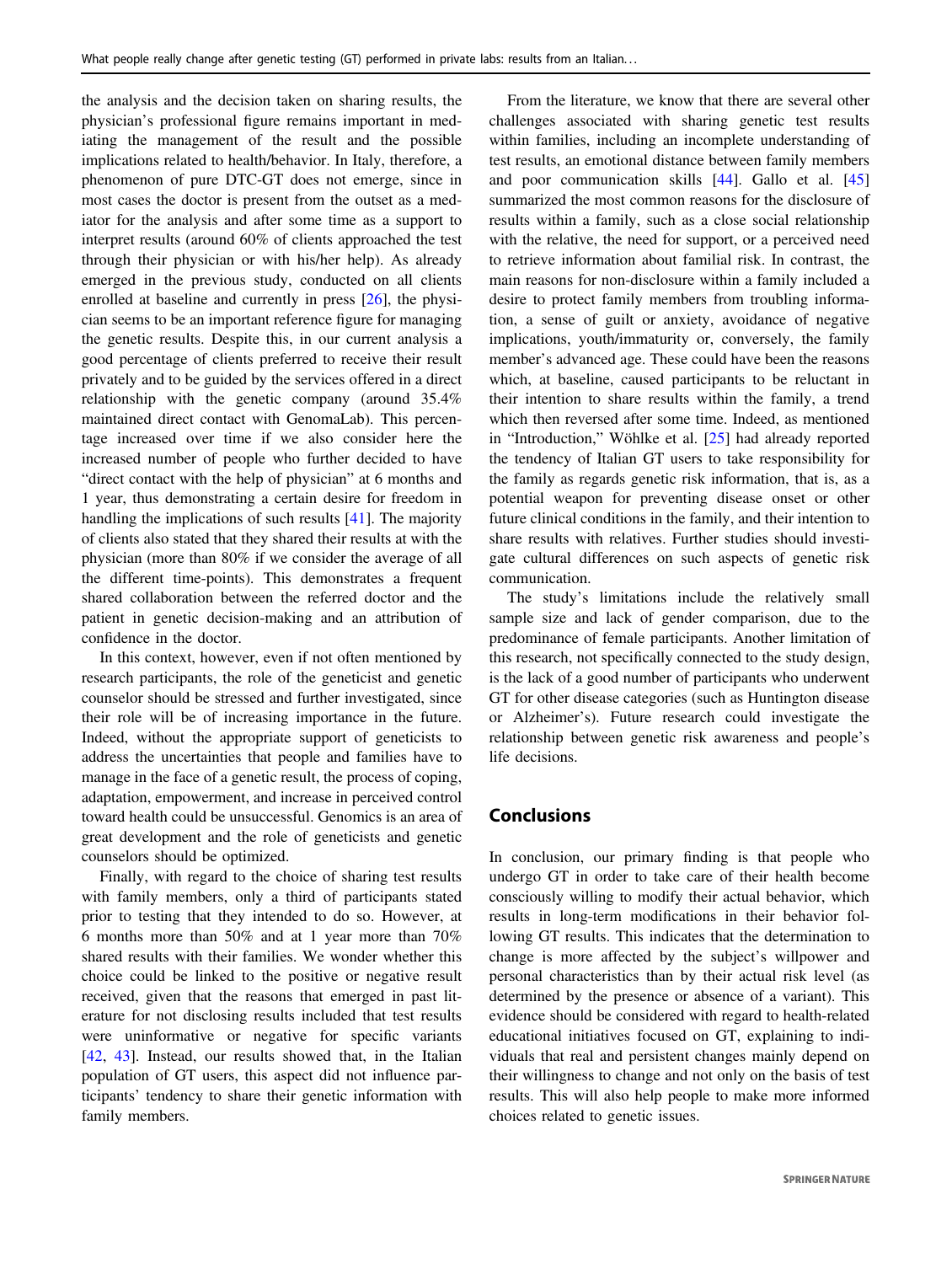the analysis and the decision taken on sharing results, the physician's professional figure remains important in mediating the management of the result and the possible implications related to health/behavior. In Italy, therefore, a phenomenon of pure DTC-GT does not emerge, since in most cases the doctor is present from the outset as a mediator for the analysis and after some time as a support to interpret results (around 60% of clients approached the test through their physician or with his/her help). As already emerged in the previous study, conducted on all clients enrolled at baseline and currently in press [\[26](#page-10-0)], the physician seems to be an important reference figure for managing the genetic results. Despite this, in our current analysis a good percentage of clients preferred to receive their result privately and to be guided by the services offered in a direct relationship with the genetic company (around 35.4% maintained direct contact with GenomaLab). This percentage increased over time if we also consider here the increased number of people who further decided to have "direct contact with the help of physician" at 6 months and 1 year, thus demonstrating a certain desire for freedom in handling the implications of such results [[41\]](#page-10-0). The majority of clients also stated that they shared their results at with the physician (more than 80% if we consider the average of all the different time-points). This demonstrates a frequent shared collaboration between the referred doctor and the patient in genetic decision-making and an attribution of confidence in the doctor.

In this context, however, even if not often mentioned by research participants, the role of the geneticist and genetic counselor should be stressed and further investigated, since their role will be of increasing importance in the future. Indeed, without the appropriate support of geneticists to address the uncertainties that people and families have to manage in the face of a genetic result, the process of coping, adaptation, empowerment, and increase in perceived control toward health could be unsuccessful. Genomics is an area of great development and the role of geneticists and genetic counselors should be optimized.

Finally, with regard to the choice of sharing test results with family members, only a third of participants stated prior to testing that they intended to do so. However, at 6 months more than 50% and at 1 year more than 70% shared results with their families. We wonder whether this choice could be linked to the positive or negative result received, given that the reasons that emerged in past literature for not disclosing results included that test results were uninformative or negative for specific variants [\[42](#page-10-0), [43\]](#page-10-0). Instead, our results showed that, in the Italian population of GT users, this aspect did not influence participants' tendency to share their genetic information with family members.

From the literature, we know that there are several other challenges associated with sharing genetic test results within families, including an incomplete understanding of test results, an emotional distance between family members and poor communication skills [[44\]](#page-10-0). Gallo et al. [\[45](#page-10-0)] summarized the most common reasons for the disclosure of results within a family, such as a close social relationship with the relative, the need for support, or a perceived need to retrieve information about familial risk. In contrast, the main reasons for non-disclosure within a family included a desire to protect family members from troubling information, a sense of guilt or anxiety, avoidance of negative implications, youth/immaturity or, conversely, the family member's advanced age. These could have been the reasons which, at baseline, caused participants to be reluctant in their intention to share results within the family, a trend which then reversed after some time. Indeed, as mentioned in "Introduction," Wöhlke et al. [[25\]](#page-10-0) had already reported the tendency of Italian GT users to take responsibility for the family as regards genetic risk information, that is, as a potential weapon for preventing disease onset or other future clinical conditions in the family, and their intention to share results with relatives. Further studies should investigate cultural differences on such aspects of genetic risk communication.

The study's limitations include the relatively small sample size and lack of gender comparison, due to the predominance of female participants. Another limitation of this research, not specifically connected to the study design, is the lack of a good number of participants who underwent GT for other disease categories (such as Huntington disease or Alzheimer's). Future research could investigate the relationship between genetic risk awareness and people's life decisions.

# Conclusions

In conclusion, our primary finding is that people who undergo GT in order to take care of their health become consciously willing to modify their actual behavior, which results in long-term modifications in their behavior following GT results. This indicates that the determination to change is more affected by the subject's willpower and personal characteristics than by their actual risk level (as determined by the presence or absence of a variant). This evidence should be considered with regard to health-related educational initiatives focused on GT, explaining to individuals that real and persistent changes mainly depend on their willingness to change and not only on the basis of test results. This will also help people to make more informed choices related to genetic issues.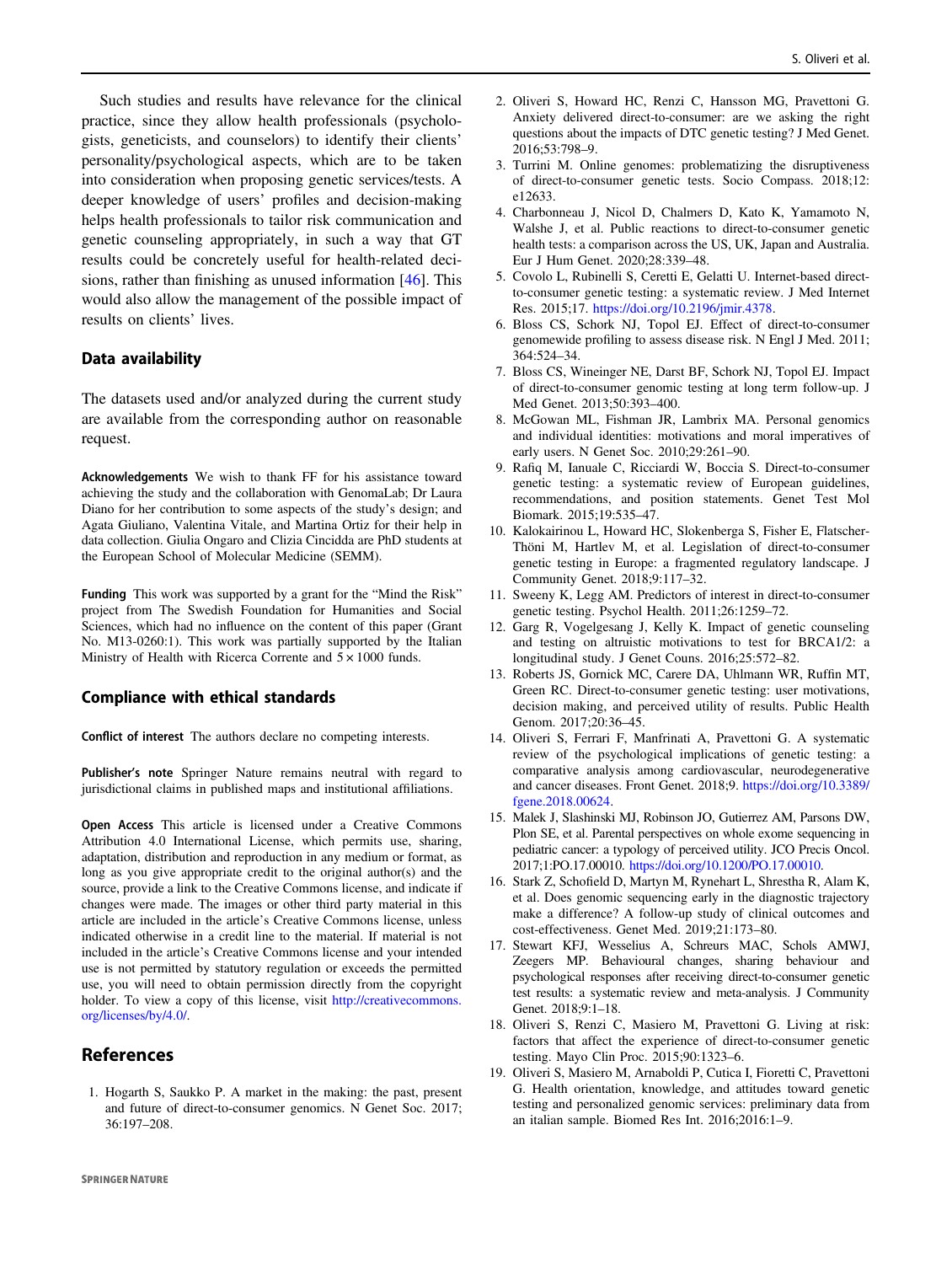<span id="page-9-0"></span>Such studies and results have relevance for the clinical practice, since they allow health professionals (psychologists, geneticists, and counselors) to identify their clients' personality/psychological aspects, which are to be taken into consideration when proposing genetic services/tests. A deeper knowledge of users' profiles and decision-making helps health professionals to tailor risk communication and genetic counseling appropriately, in such a way that GT results could be concretely useful for health-related decisions, rather than finishing as unused information [\[46](#page-10-0)]. This would also allow the management of the possible impact of results on clients' lives.

### Data availability

The datasets used and/or analyzed during the current study are available from the corresponding author on reasonable request.

Acknowledgements We wish to thank FF for his assistance toward achieving the study and the collaboration with GenomaLab; Dr Laura Diano for her contribution to some aspects of the study's design; and Agata Giuliano, Valentina Vitale, and Martina Ortiz for their help in data collection. Giulia Ongaro and Clizia Cincidda are PhD students at the European School of Molecular Medicine (SEMM).

Funding This work was supported by a grant for the "Mind the Risk" project from The Swedish Foundation for Humanities and Social Sciences, which had no influence on the content of this paper (Grant No. M13-0260:1). This work was partially supported by the Italian Ministry of Health with Ricerca Corrente and  $5 \times 1000$  funds.

#### Compliance with ethical standards

Conflict of interest The authors declare no competing interests.

Publisher's note Springer Nature remains neutral with regard to jurisdictional claims in published maps and institutional affiliations.

Open Access This article is licensed under a Creative Commons Attribution 4.0 International License, which permits use, sharing, adaptation, distribution and reproduction in any medium or format, as long as you give appropriate credit to the original author(s) and the source, provide a link to the Creative Commons license, and indicate if changes were made. The images or other third party material in this article are included in the article's Creative Commons license, unless indicated otherwise in a credit line to the material. If material is not included in the article's Creative Commons license and your intended use is not permitted by statutory regulation or exceeds the permitted use, you will need to obtain permission directly from the copyright holder. To view a copy of this license, visit [http://creativecommons.](http://creativecommons.org/licenses/by/4.0/) [org/licenses/by/4.0/.](http://creativecommons.org/licenses/by/4.0/)

# References

1. Hogarth S, Saukko P. A market in the making: the past, present and future of direct-to-consumer genomics. N Genet Soc. 2017; 36:197–208.

- 2. Oliveri S, Howard HC, Renzi C, Hansson MG, Pravettoni G. Anxiety delivered direct-to-consumer: are we asking the right questions about the impacts of DTC genetic testing? J Med Genet. 2016;53:798–9.
- 3. Turrini M. Online genomes: problematizing the disruptiveness of direct-to-consumer genetic tests. Socio Compass. 2018;12: e12633.
- 4. Charbonneau J, Nicol D, Chalmers D, Kato K, Yamamoto N, Walshe J, et al. Public reactions to direct-to-consumer genetic health tests: a comparison across the US, UK, Japan and Australia. Eur J Hum Genet. 2020;28:339–48.
- 5. Covolo L, Rubinelli S, Ceretti E, Gelatti U. Internet-based directto-consumer genetic testing: a systematic review. J Med Internet Res. 2015;17. <https://doi.org/10.2196/jmir.4378>.
- 6. Bloss CS, Schork NJ, Topol EJ. Effect of direct-to-consumer genomewide profiling to assess disease risk. N Engl J Med. 2011; 364:524–34.
- 7. Bloss CS, Wineinger NE, Darst BF, Schork NJ, Topol EJ. Impact of direct-to-consumer genomic testing at long term follow-up. J Med Genet. 2013;50:393–400.
- 8. McGowan ML, Fishman JR, Lambrix MA. Personal genomics and individual identities: motivations and moral imperatives of early users. N Genet Soc. 2010;29:261–90.
- 9. Rafiq M, Ianuale C, Ricciardi W, Boccia S. Direct-to-consumer genetic testing: a systematic review of European guidelines, recommendations, and position statements. Genet Test Mol Biomark. 2015;19:535–47.
- 10. Kalokairinou L, Howard HC, Slokenberga S, Fisher E, Flatscher-Thöni M, Hartlev M, et al. Legislation of direct-to-consumer genetic testing in Europe: a fragmented regulatory landscape. J Community Genet. 2018;9:117–32.
- 11. Sweeny K, Legg AM. Predictors of interest in direct-to-consumer genetic testing. Psychol Health. 2011;26:1259–72.
- 12. Garg R, Vogelgesang J, Kelly K. Impact of genetic counseling and testing on altruistic motivations to test for BRCA1/2: a longitudinal study. J Genet Couns. 2016;25:572–82.
- 13. Roberts JS, Gornick MC, Carere DA, Uhlmann WR, Ruffin MT, Green RC. Direct-to-consumer genetic testing: user motivations, decision making, and perceived utility of results. Public Health Genom. 2017;20:36–45.
- 14. Oliveri S, Ferrari F, Manfrinati A, Pravettoni G. A systematic review of the psychological implications of genetic testing: a comparative analysis among cardiovascular, neurodegenerative and cancer diseases. Front Genet. 2018;9. [https://doi.org/10.3389/](https://doi.org/10.3389/fgene.2018.00624) [fgene.2018.00624.](https://doi.org/10.3389/fgene.2018.00624)
- 15. Malek J, Slashinski MJ, Robinson JO, Gutierrez AM, Parsons DW, Plon SE, et al. Parental perspectives on whole exome sequencing in pediatric cancer: a typology of perceived utility. JCO Precis Oncol. 2017;1:PO.17.00010. [https://doi.org/10.1200/PO.17.00010.](https://doi.org/10.1200/PO.17.00010)
- 16. Stark Z, Schofield D, Martyn M, Rynehart L, Shrestha R, Alam K, et al. Does genomic sequencing early in the diagnostic trajectory make a difference? A follow-up study of clinical outcomes and cost-effectiveness. Genet Med. 2019;21:173–80.
- 17. Stewart KFJ, Wesselius A, Schreurs MAC, Schols AMWJ, Zeegers MP. Behavioural changes, sharing behaviour and psychological responses after receiving direct-to-consumer genetic test results: a systematic review and meta-analysis. J Community Genet. 2018;9:1–18.
- 18. Oliveri S, Renzi C, Masiero M, Pravettoni G. Living at risk: factors that affect the experience of direct-to-consumer genetic testing. Mayo Clin Proc. 2015;90:1323–6.
- 19. Oliveri S, Masiero M, Arnaboldi P, Cutica I, Fioretti C, Pravettoni G. Health orientation, knowledge, and attitudes toward genetic testing and personalized genomic services: preliminary data from an italian sample. Biomed Res Int. 2016;2016:1–9.